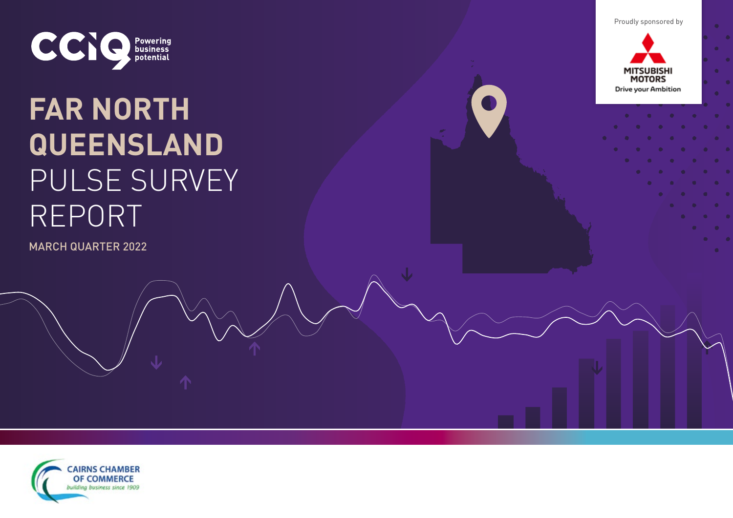Proudly sponsored by



# **FAR NORTH QUEENSLAND**  PULSE SURVEY REPORT

MARCH QUARTER 2022



 $\bullet$ 

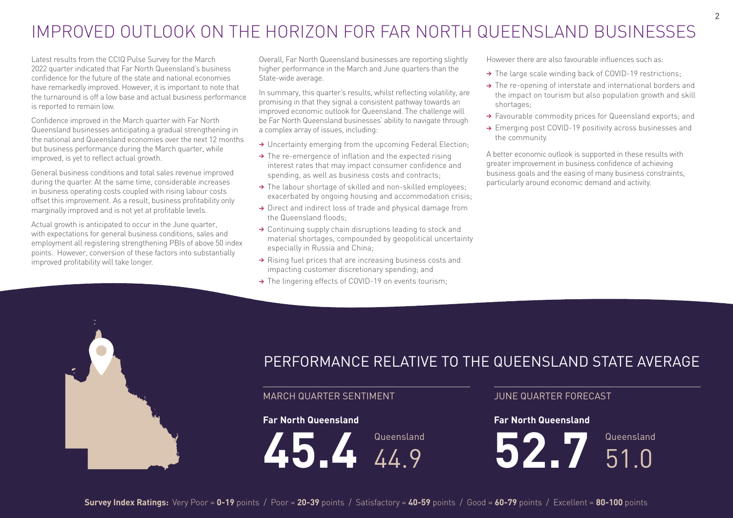## IMPROVED OUTLOOK ON THE HORIZON FOR FAR NORTH QUEENSLAND BUSINESSES

Latest results from the CCIQ Pulse Survey for the March 2022 quarter indicated that Far North Queensland's business confidence for the future of the state and national economies have remarkedly improved. However, it is important to note that the turnaround is off a low base and actual business performance is reported to remain low.

Confidence improved in the March quarter with Far North Queensland businesses anticipating a gradual strengthening in the national and Queensland economies over the next 12 months but business performance during the March quarter, while improved, is yet to reflect actual growth.

General business conditions and total sales revenue improved during the quarter. At the same time, considerable increases in business operating costs coupled with rising labour costs offset this improvement. As a result, business profitability only marginally improved and is not yet at profitable levels.

Actual growth is anticipated to occur in the June quarter, with expectations for general business conditions, sales and employment all registering strengthening PBIs of above 50 index points. However, conversion of these factors into substantially improved profitability will take longer.

Overall, Far North Queensland businesses are reporting slightly higher performance in the March and June quarters than the State-wide average.

In summary, this quarter's results, whilst reflecting volatility, are promising in that they signal a consistent pathway towards an improved economic outlook for Queensland. The challenge will be Far North Queensland businesses' ability to navigate through a complex array of issues, including:

- → Uncertainty emerging from the upcoming Federal Election;
- $\rightarrow$  The re-emergence of inflation and the expected rising interest rates that may impact consumer confidence and spending, as well as business costs and contracts;
- → The labour shortage of skilled and non-skilled employees; exacerbated by ongoing housing and accommodation crisis;
- → Direct and indirect loss of trade and physical damage from the Queensland floods;
- → Continuing supply chain disruptions leading to stock and material shortages, compounded by geopolitical uncertainty especially in Russia and China;
- → Rising fuel prices that are increasing business costs and impacting customer discretionary spending; and
- > The lingering effects of COVID-19 on events tourism;

However there are also favourable influences such as:

- → The large scale winding back of COVID-19 restrictions;
- → The re-opening of interstate and international borders and the impact on tourism but also population growth and skill shortages;
- → Favourable commodity prices for Queensland exports: and
- → Emerging post COVID-19 positivity across businesses and the community.

A better economic outlook is supported in these results with greater improvement in business confidence of achieving business goals and the easing of many business constraints, particularly around economic demand and activity.



## PERFORMANCE RELATIVE TO THE QUEENSLAND STATE AVERAGE

#### MARCH QUARTER SENTIMENT JUNE QUARTER FORECAST

#### **Far North Queensland**

45.4 44.9

#### **Far North Queensland**

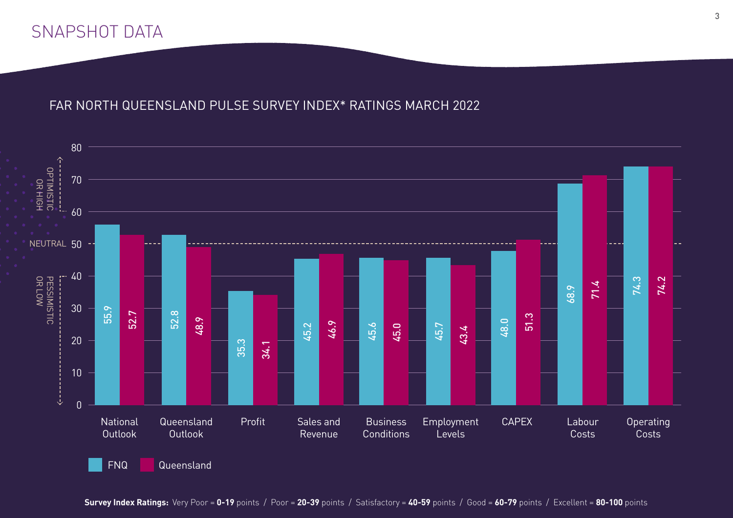## SNAPSHOT DATA

#### FAR NORTH QUEENSLAND PULSE SURVEY INDEX\* RATINGS MARCH 2022



3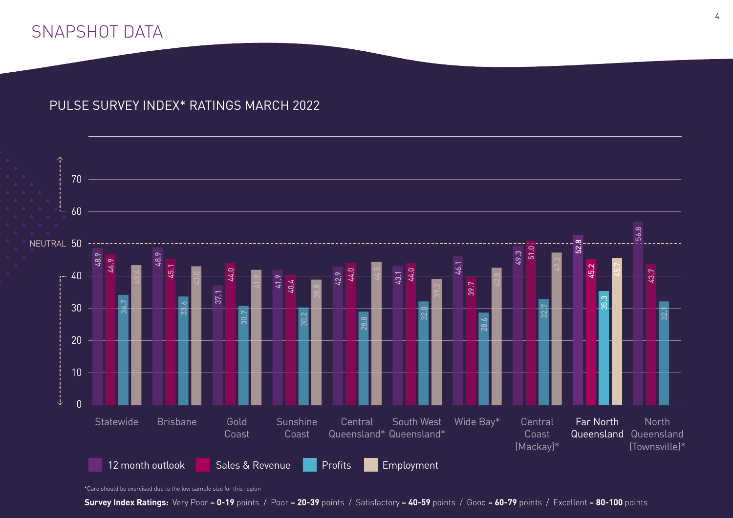## SNAPSHOT DATA

#### PULSE SURVEY INDEX\* RATINGS MARCH 2022



<sup>\*</sup>Care should be exercised due to the low sample size for this region

**Survey Index Ratings:** Very Poor = **0-19** points / Poor = **20-39** points / Satisfactory = **40-59** points / Good = **60-79** points / Excellent = **80-100** points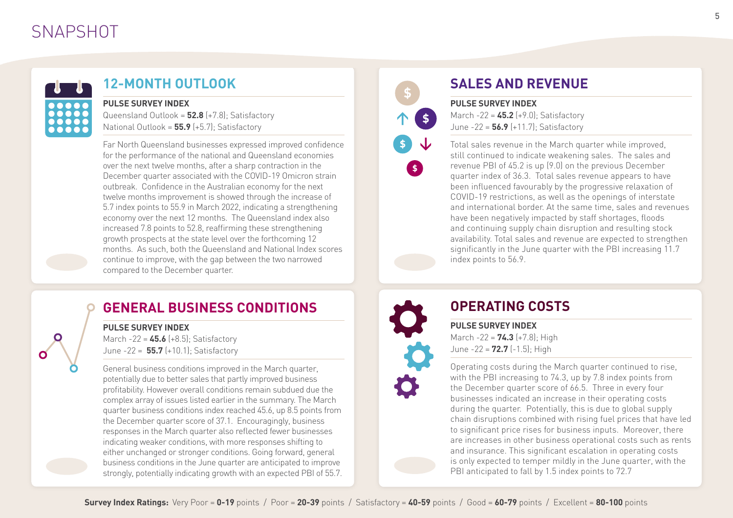## **SNAPSHOT**



#### **12-MONTH OUTLOOK**

#### **PULSE SURVEY INDEX**

Queensland Outlook = **52.8** (+7.8); Satisfactory National Outlook = **55.9** (+5.7); Satisfactory

Far North Queensland businesses expressed improved confidence for the performance of the national and Queensland economies over the next twelve months, after a sharp contraction in the December quarter associated with the COVID-19 Omicron strain outbreak. Confidence in the Australian economy for the next twelve months improvement is showed through the increase of 5.7 index points to 55.9 in March 2022, indicating a strengthening economy over the next 12 months. The Queensland index also increased 7.8 points to 52.8, reaffirming these strengthening growth prospects at the state level over the forthcoming 12 months. As such, both the Queensland and National Index scores continue to improve, with the gap between the two narrowed compared to the December quarter.

### **SALES AND REVENUE**

**PULSE SURVEY INDEX** March -22 = **45.2** (+9.0); Satisfactory June -22 = **56.9** (+11.7); Satisfactory

Total sales revenue in the March quarter while improved, still continued to indicate weakening sales. The sales and revenue PBI of 45.2 is up (9.0) on the previous December quarter index of 36.3. Total sales revenue appears to have been influenced favourably by the progressive relaxation of COVID-19 restrictions, as well as the openings of interstate and international border. At the same time, sales and revenues have been negatively impacted by staff shortages, floods and continuing supply chain disruption and resulting stock availability. Total sales and revenue are expected to strengthen significantly in the June quarter with the PBI increasing 11.7 index points to 56.9.

#### **GENERAL BUSINESS CONDITIONS**

#### **PULSE SURVEY INDEX**

March -22 = **45.6** (+8.5); Satisfactory June -22 = **55.7** (+10.1); Satisfactory

General business conditions improved in the March quarter, potentially due to better sales that partly improved business profitability. However overall conditions remain subdued due the complex array of issues listed earlier in the summary. The March quarter business conditions index reached 45.6, up 8.5 points from the December quarter score of 37.1. Encouragingly, business responses in the March quarter also reflected fewer businesses indicating weaker conditions, with more responses shifting to either unchanged or stronger conditions. Going forward, general business conditions in the June quarter are anticipated to improve strongly, potentially indicating growth with an expected PBI of 55.7.



 $\sqrt{5}$ 

## **OPERATING COSTS**

**PULSE SURVEY INDEX** March -22 = **74.3** (+7.8); High June -22 = **72.7** (-1.5); High

Operating costs during the March quarter continued to rise, with the PBI increasing to 74.3, up by 7.8 index points from the December quarter score of 66.5. Three in every four businesses indicated an increase in their operating costs during the quarter. Potentially, this is due to global supply chain disruptions combined with rising fuel prices that have led to significant price rises for business inputs. Moreover, there are increases in other business operational costs such as rents and insurance. This significant escalation in operating costs is only expected to temper mildly in the June quarter, with the PBI anticipated to fall by 1.5 index points to 72.7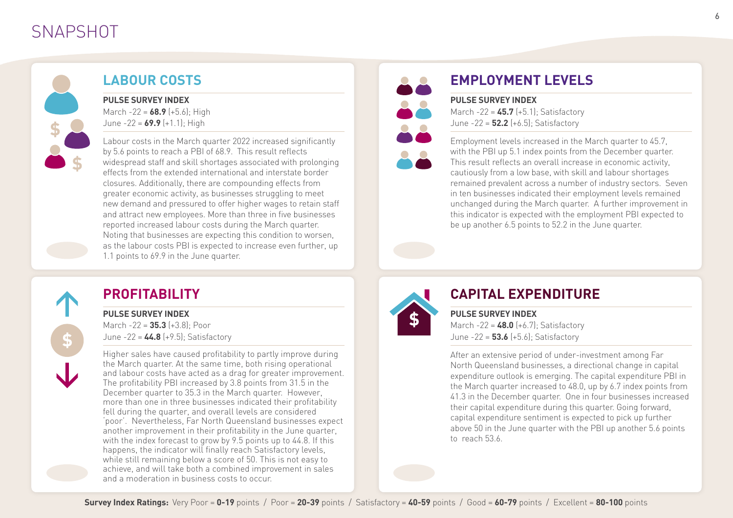## **SNAPSHOT**



### **LABOUR COSTS**

**PULSE SURVEY INDEX**

March -22 = **68.9** (+5.6); High June -22 = **69.9** (+1.1); High

Labour costs in the March quarter 2022 increased significantly by 5.6 points to reach a PBI of 68.9. This result reflects widespread staff and skill shortages associated with prolonging effects from the extended international and interstate border closures. Additionally, there are compounding effects from greater economic activity, as businesses struggling to meet new demand and pressured to offer higher wages to retain staff and attract new employees. More than three in five businesses reported increased labour costs during the March quarter. Noting that businesses are expecting this condition to worsen, as the labour costs PBI is expected to increase even further, up 1.1 points to 69.9 in the June quarter.

# 88 22

## **EMPLOYMENT LEVELS**

#### **PULSE SURVEY INDEX**

March -22 = **45.7** (+5.1); Satisfactory June -22 = **52.2** (+6.5); Satisfactory

Employment levels increased in the March quarter to 45.7, with the PBI up 5.1 index points from the December quarter. This result reflects an overall increase in economic activity, cautiously from a low base, with skill and labour shortages remained prevalent across a number of industry sectors. Seven in ten businesses indicated their employment levels remained unchanged during the March quarter. A further improvement in this indicator is expected with the employment PBI expected to be up another 6.5 points to 52.2 in the June quarter.

## **PROFITABILITY**

#### **PULSE SURVEY INDEX**

March -22 = **35.3** (+3.8); Poor June -22 = **44.8** (+9.5); Satisfactory

Higher sales have caused profitability to partly improve during the March quarter. At the same time, both rising operational and labour costs have acted as a drag for greater improvement. The profitability PBI increased by 3.8 points from 31.5 in the December quarter to 35.3 in the March quarter. However, more than one in three businesses indicated their profitability fell during the quarter, and overall levels are considered 'poor'. Nevertheless, Far North Queensland businesses expect another improvement in their profitability in the June quarter, with the index forecast to grow by 9.5 points up to 44.8. If this happens, the indicator will finally reach Satisfactory levels, while still remaining below a score of 50. This is not easy to achieve, and will take both a combined improvement in sales and a moderation in business costs to occur.



## **CAPITAL EXPENDITURE**

**PULSE SURVEY INDEX** March -22 = **48.0** (+6.7); Satisfactory June -22 = **53.6** (+5.6); Satisfactory

After an extensive period of under-investment among Far North Queensland businesses, a directional change in capital expenditure outlook is emerging. The capital expenditure PBI in the March quarter increased to 48.0, up by 6.7 index points from 41.3 in the December quarter. One in four businesses increased their capital expenditure during this quarter. Going forward, capital expenditure sentiment is expected to pick up further above 50 in the June quarter with the PBI up another 5.6 points to reach 53.6.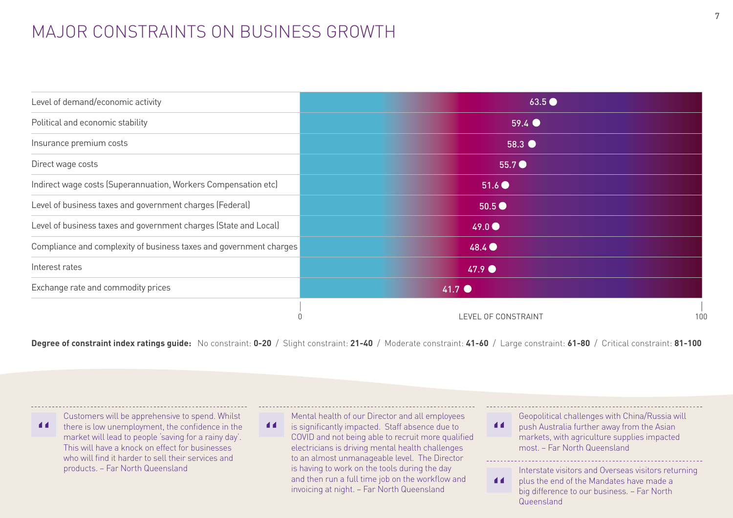## MAJOR CONSTRAINTS ON BUSINESS GROWTH

| Level of demand/economic activity                                  | 63.5                       |
|--------------------------------------------------------------------|----------------------------|
| Political and economic stability                                   | $59.4$ $\bullet$           |
| Insurance premium costs                                            | $58.3$ $\bullet$           |
| Direct wage costs                                                  | $55.7$ $\bullet$           |
| Indirect wage costs (Superannuation, Workers Compensation etc)     | 51.6                       |
| Level of business taxes and government charges (Federal)           | 50.5 <sup>o</sup>          |
| Level of business taxes and government charges (State and Local)   | 49.0                       |
| Compliance and complexity of business taxes and government charges | 48.4                       |
| Interest rates                                                     | $47.9$ $\bullet$           |
| Exchange rate and commodity prices                                 | $41.7$ $\bullet$           |
|                                                                    | LEVEL OF CONSTRAINT<br>100 |

**Degree of constraint index ratings guide:** No constraint: **0-20** / Slight constraint: **21-40** / Moderate constraint: **41-60** / Large constraint: **61-80** / Critical constraint: **81-100**

Customers will be apprehensive to spend. Whilst  $\blacksquare$ there is low unemployment, the confidence in the market will lead to people 'saving for a rainy day'. This will have a knock on effect for businesses who will find it harder to sell their services and products. – Far North Queensland

Mental health of our Director and all employees

 $\blacktriangleleft$ is significantly impacted. Staff absence due to COVID and not being able to recruit more qualified electricians is driving mental health challenges to an almost unmanageable level. The Director is having to work on the tools during the day and then run a full time job on the workflow and invoicing at night. – Far North Queensland

Geopolitical challenges with China/Russia will  $\blacktriangleleft$ push Australia further away from the Asian markets, with agriculture supplies impacted most. – Far North Queensland

Interstate visitors and Overseas visitors returning  $\blacksquare$ plus the end of the Mandates have made a

big difference to our business. – Far North Queensland